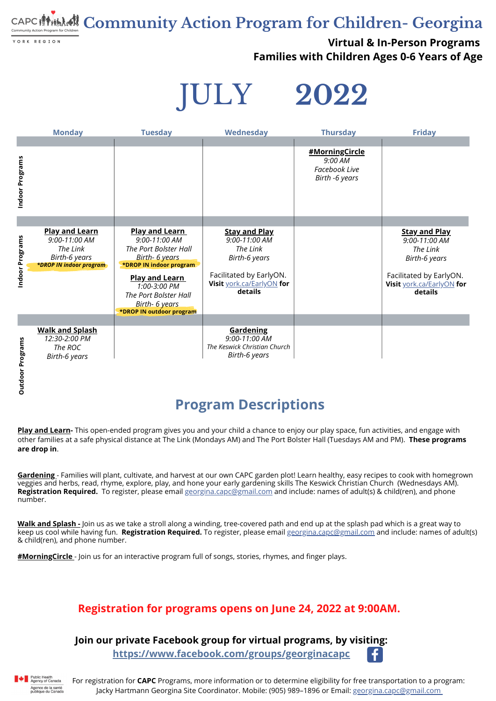For registration for **CAPC** Programs, more information or to determine eligibility for free transportation to a program: Jacky Hartmann Georgina Site Coordinator. Mobile: (905) 989-1896 or Email: [georgina.](http://gmail.com/)[capc](mailto:georgina.capc@gmail.com)[@gmail.com](http://gmail.com/)

# **Community Action Program for Children- Georgina**

YORK REGION

### **Virtual & In-Person Programs Families with Children Ages 0-6 Years of Age**

JULY **2022**

#### **Join our private Facebook group for virtual programs, by visiting: <https://www.facebook.com/groups/georginacapc>**



#### **Registration for programs opens on June 24, 2022 at 9:00AM.**

## **Program Descriptions**

**[Pl](https://www.facebook.com/groups/GeorginaCAPC)ay and Learn-** This open-ended program gives you and your child a chance to enjoy our play space, fun activities, and engage with other families at a safe physical distance at The Link (Mondays AM) and The Port Bolster Hall (Tuesdays AM and PM). **These [programs](https://www.facebook.com/hashtag/MotherEarthMonday/?__gid__=375811973311481) are drop in**[.](https://www.facebook.com/hashtag/MotherEarthMonday/?__gid__=375811973311481)

|                     | <b>Monday</b>                                                                                  | <b>Tuesday</b>                                                                                                                                                                                                               | Wednesday                                                                                                                                    | <b>Thursday</b>                                                     | <b>Friday</b>                                                                                                                         |
|---------------------|------------------------------------------------------------------------------------------------|------------------------------------------------------------------------------------------------------------------------------------------------------------------------------------------------------------------------------|----------------------------------------------------------------------------------------------------------------------------------------------|---------------------------------------------------------------------|---------------------------------------------------------------------------------------------------------------------------------------|
| Indoor Programs     |                                                                                                |                                                                                                                                                                                                                              |                                                                                                                                              | #MorningCircle<br>9:00 AM<br><b>Facebook Live</b><br>Birth -6 years |                                                                                                                                       |
| Indoor Programs     | <b>Play and Learn</b><br>9:00-11:00 AM<br>The Link<br>Birth-6 years<br>*DROP IN indoor program | <b>Play and Learn</b><br>9:00-11:00 AM<br>The Port Bolster Hall<br>Birth- 6 years<br>*DROP IN indoor program<br><b>Play and Learn</b><br>1:00-3:00 PM<br>The Port Bolster Hall<br>Birth- 6 years<br>*DROP IN outdoor program | <b>Stay and Play</b><br>9:00-11:00 AM<br>The Link<br><b>Birth-6 years</b><br>Facilitated by EarlyON.<br>Visit york.ca/EarlyON for<br>details |                                                                     | <b>Stay and Play</b><br>9:00-11:00 AM<br>The Link<br>Birth-6 years<br>Facilitated by EarlyON.<br>Visit york.ca/EarlyON for<br>details |
| Programs<br>Outdoor | <b>Walk and Splash</b><br>12:30-2:00 PM<br>The ROC<br><b>Birth-6 years</b>                     |                                                                                                                                                                                                                              | <b>Gardening</b><br>9:00-11:00 AM<br>The Keswick Christian Church<br><b>Birth-6 years</b>                                                    |                                                                     |                                                                                                                                       |

**[Gardening](https://www.facebook.com/groups/GeorginaCAPC)** - Families will plant, cultivate, and harvest at our own CAPC garden plot! Learn healthy, easy recipes t[o](https://www.facebook.com/hashtag/MotherEarthMonday/?__gid__=375811973311481) cook with homegrown veggies and herbs, read, rhyme, explore, play, and hone your early gardening skills The Keswick [Christian](https://www.facebook.com/hashtag/MotherEarthMonday/?__gid__=375811973311481) Church [\(Wednesdays](https://www.facebook.com/hashtag/MotherEarthMonday/?__gid__=375811973311481) AM). **Registration Required.** To register, please email [georgina.capc@gmail.com](mailto:georgina.capc@gmail.com) and include: names of adult(s) & child(ren), and phone number.

**Walk and [Splash](mailto:georgina.capc@gmail.com) -** Join us as we take a stroll along a winding, tree-covered path and end up at the splash pad which is a great way to keep us cool while having fun. **Registration Required.** To register, please email [georgina.capc@gmail.com](mailto:georgina.capc@gmail.com) and include: names of adult(s) & child(ren), and phone number.

**[#](https://www.facebook.com/groups/georginacapc)[MorningCircle](https://www.facebook.com/groups/ghttps:/www.facebook.com/groups/GeorginaCAPCeorginacapc)** - Join us for an [interactive](https://www.facebook.com/hashtag/breakfaststorytime?__gid__=2724589697775491) program full of songs, stories, rhymes, and finger plays.